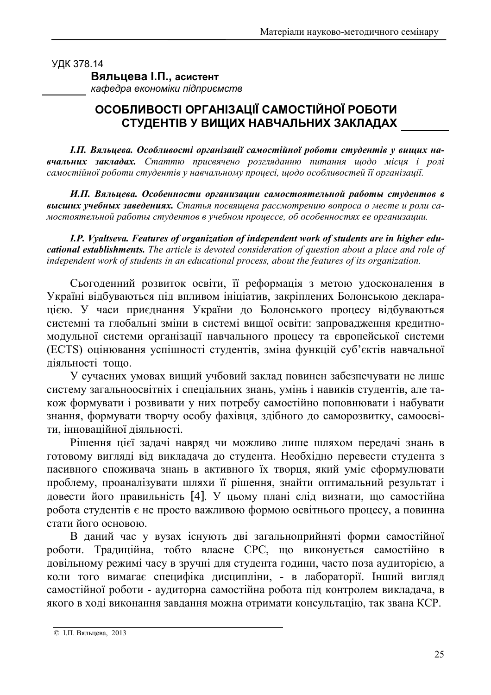УДК 378.14

Вяльцева І.П., асистент

кафедра економіки підприємств

## ОСОБЛИВОСТІ ОРГАНІЗАЦІЇ САМОСТІЙНОЇ РОБОТИ СТУДЕНТІВ У ВИЩИХ НАВЧАЛЬНИХ ЗАКЛАДАХ

І.П. Вяльцева. Особливості організації самостійної роботи студентів у вищих навчальних закладах. Статтю присвячено розгляданню питання щодо місця і ролі самостійної роботи студентів у навчальному процесі, щодо особливостей її організації.

И.П. Вяльиева. Особенности организации самостоятельной работы студентов в высших учебных заведениях. Статья посвящена рассмотрению вопроса о месте и роли самостоятельной работы студентов в учебном процессе, об особенностях ее организации.

I.P. Vyaltseva. Features of organization of independent work of students are in higher educational establishments. The article is devoted consideration of question about a place and role of independent work of students in an educational process, about the features of its organization.

Сьогоденний розвиток освіти, її реформація з метою удосконалення в Україні відбуваються під впливом ініціатив, закріплених Болонською декларацією. У часи приєднання України до Болонського процесу відбуваються системні та глобальні зміни в системі вищої освіти: запровадження кредитномодульної системи організації навчального процесу та європейської системи (ECTS) оцінювання успішності студентів, зміна функцій суб'єктів навчальної діяльності тощо.

У сучасних умовах вищий учбовий заклад повинен забезпечувати не лише систему загальноосвітніх і спеціальних знань, умінь і навиків студентів, але також формувати і розвивати у них потребу самостійно поповнювати і набувати знання, формувати творчу особу фахівця, здібного до саморозвитку, самоосвіти, інноваційної діяльності.

Рішення цієї задачі навряд чи можливо лише шляхом передачі знань в готовому вигляді від викладача до студента. Необхідно перевести студента з пасивного споживача знань в активного їх творця, який уміє сформулювати проблему, проаналізувати шляхи її рішення, знайти оптимальний результат і довести його правильність [4]. У цьому плані слід визнати, що самостійна робота студентів є не просто важливою формою освітнього процесу, а повинна стати його основою.

В даний час у вузах існують дві загальноприйняті форми самостійної роботи. Традиційна, тобто власне СРС, що виконується самостійно в довільному режимі часу в зручні для студента години, часто поза аудиторією, а коли того вимагає специфіка дисципліни, - в лабораторії. Інший вигляд самостійної роботи - аудиторна самостійна робота під контролем викладача, в якого в ході виконання завдання можна отримати консультацію, так звана КСР.

<sup>©</sup> І.П. Вяльцева, 2013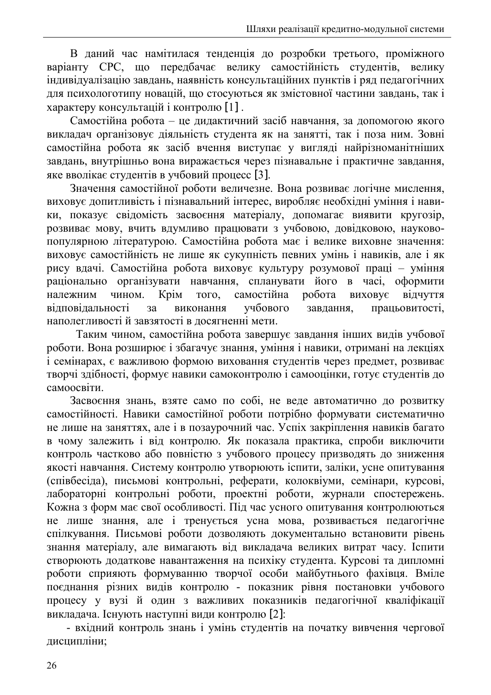В даний час намітилася тенденція до розробки третього, проміжного варіанту СРС, що передбачає велику самостійність студентів, велику індивідуалізацію завдань, наявність консультаційних пунктів і ряд педагогічних для психологотипу новацій, що стосуються як змістовної частини завдань, так і характеру консультацій і контролю [1].

Самостійна робота - це дидактичний засіб навчання, за допомогою якого викладач організовує діяльність студента як на занятті, так і поза ним. Зовні самостійна робота як засіб вчення виступає у вигляді найрізноманітніших завдань, внутрішньо вона виражається через пізнавальне і практичне завдання, яке вволікає студентів в учбовий процесс [3].

Значення самостійної роботи величезне. Вона розвиває логічне мислення, виховує допитливість і пізнавальний інтерес, виробляє необхідні уміння і навики, показує свідомість засвоєння матеріалу, допомагає виявити кругозір, розвиває мову, вчить вдумливо працювати з учбовою, довідковою, науковопопулярною літературою. Самостійна робота має і велике виховне значення: виховує самостійність не лише як сукупність певних умінь і навиків, але і як рису вдачі. Самостійна робота виховує культуру розумової праці - уміння раціонально організувати навчання, спланувати його в часі, оформити чином самостійна належним Крім TOTO, робота **ВИХОВУЄ** відчуття вілповілальності виконання учбового завлання. працьовитості.  $3a$ наполегливості й завзятості в лосягненні мети.

Таким чином, самостійна робота завершує завдання інших видів учбової роботи. Вона розширює і збагачує знання, уміння і навики, отримані на лекціях і семінарах, є важливою формою виховання студентів через предмет, розвиває творчі здібності, формує навики самоконтролю і самооцінки, готує студентів до самоосвіти.

Засвоєння знань, взяте само по собі, не веде автоматично до розвитку самостійності. Навики самостійної роботи потрібно формувати систематично не лише на заняттях, але і в позаурочний час. Успіх закріплення навиків багато в чому залежить і від контролю. Як показала практика, спроби виключити контроль частково або повністю з учбового процесу призводять до зниження якості навчання. Систему контролю утворюють іспити, заліки, усне опитування (співбесіда), письмові контрольні, реферати, колоквіуми, семінари, курсові, лабораторні контрольні роботи, проектні роботи, журнали спостережень. Кожна з форм має свої особливості. Під час усного опитування контролюються не лише знання, але і тренується усна мова, розвивається педагогічне спілкування. Письмові роботи дозволяють документально встановити рівень знання матеріалу, але вимагають від викладача великих витрат часу. Іспити створюють додаткове навантаження на психіку студента. Курсові та дипломні роботи сприяють формуванню творчої особи майбутнього фахівця. Вміле поєднання різних видів контролю - показник рівня постановки учбового процесу у вузі й один з важливих показників педагогічної кваліфікації викладача. Існують наступні види контролю [2]:

- вхідний контроль знань і умінь студентів на початку вивчення чергової дисципліни;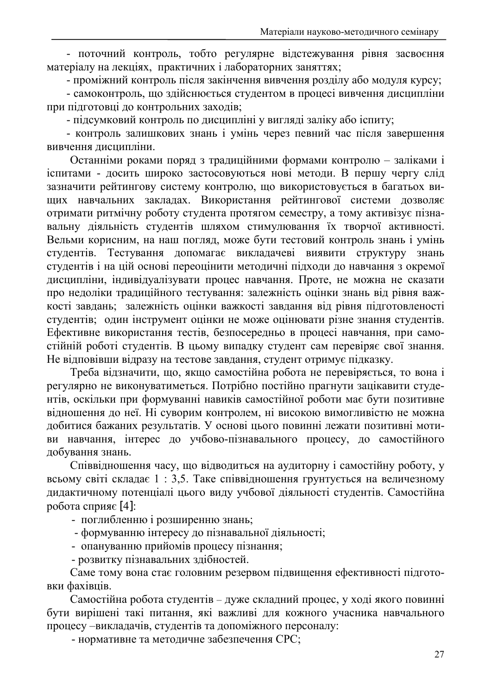- поточний контроль, тобто регулярне відстежування рівня засвоєння матеріалу на лекціях, практичних і лабораторних заняттях;

- проміжний контроль після закінчення вивчення розділу або модуля курсу;

- самоконтроль, що здійснюється студентом в процесі вивчення дисципліни при підготовці до контрольних заходів;

- підсумковий контроль по дисципліні у вигляді заліку або іспиту;

- контроль залишкових знань і умінь через певний час після завершення вивчення дисципліни.

Останніми роками поряд з традиційними формами контролю - заліками і іспитами - досить широко застосовуються нові методи. В першу чергу слід зазначити рейтингову систему контролю, що використовується в багатьох вищих навчальних закладах. Використання рейтингової системи дозволяє отримати ритмічну роботу студента протягом семестру, а тому активізує пізнавальну діяльність студентів шляхом стимулювання їх творчої активності. Вельми корисним, на наш погляд, може бути тестовий контроль знань і умінь студентів. Тестування допомагає викладачеві виявити структуру знань студентів і на цій основі переоцінити методичні підходи до навчання з окремої дисципліни, індивідуалізувати процес навчання. Проте, не можна не сказати про недоліки традиційного тестування: залежність оцінки знань від рівня важкості завдань; залежність оцінки важкості завдання від рівня підготовленості студентів; один інструмент оцінки не може оцінювати різне знання студентів. Ефективне використання тестів, безпосередньо в процесі навчання, при самостійній роботі студентів. В цьому випадку студент сам перевіряє свої знання. Не відповівши відразу на тестове завдання, студент отримує підказку.

Треба відзначити, що, якщо самостійна робота не перевіряється, то вона і регулярно не виконуватиметься. Потрібно постійно прагнути зацікавити студентів, оскільки при формуванні навиків самостійної роботи має бути позитивне відношення до неї. Ні суворим контролем, ні високою вимогливістю не можна добитися бажаних результатів. У основі цього повинні лежати позитивні мотиви навчання, інтерес до учбово-пізнавального процесу, до самостійного добування знань.

Співвідношення часу, що відводиться на аудиторну і самостійну роботу, у всьому світі складає 1:3,5. Таке співвідношення грунтується на величезному дидактичному потенціалі цього виду учбової діяльності студентів. Самостійна робота сприяє [4]:

- поглибленню і розширенню знань;

- формуванню інтересу до пізнавальної діяльності;
- опануванню прийомів процесу пізнання:
- розвитку пізнавальних здібностей.

Саме тому вона стає головним резервом підвищення ефективності підготовки фахівців.

Самостійна робота студентів - дуже складний процес, у ході якого повинні бути вирішені такі питання, які важливі для кожного учасника навчального процесу - викладачів, студентів та допоміжного персоналу:

- нормативне та методичне забезпечення СРС;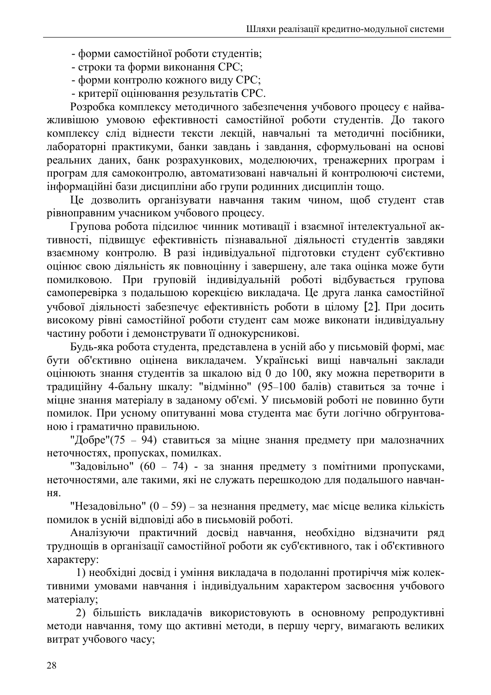- форми самостійної роботи студентів;
- строки та форми виконання СРС;
- форми контролю кожного виду СРС;
- критерії оцінювання результатів СРС.

Розробка комплексу методичного забезпечення учбового процесу є найважливішою умовою ефективності самостійної роботи студентів. До такого комплексу слід вілнести тексти лекцій, навчальні та методичні посібники, лабораторні практикуми, банки завдань і завдання, сформульовані на основі реальних даних, банк розрахункових, моделюючих, тренажерних програм і програм для самоконтролю, автоматизовані навчальні й контролюючі системи, інформаційні бази дисципліни або групи родинних дисциплін тощо.

Це дозволить організувати навчання таким чином, щоб студент став рівноправним учасником учбового процесу.

Групова робота підсилює чинник мотивації і взаємної інтелектуальної активності, підвищує ефективність пізнавальної діяльності студентів завдяки взаємному контролю. В разі індивідуальної підготовки студент суб'єктивно оцінює свою діяльність як повноцінну і завершену, але така оцінка може бути помилковою. При груповій індивідуальній роботі відбувається групова самоперевірка з подальшою корекцією викладача. Це друга ланка самостійної учбової діяльності забезпечує ефективність роботи в цілому [2]. При досить високому рівні самостійної роботи студент сам може виконати індивідуальну частину роботи і демонструвати її однокурсникові.

Будь-яка робота студента, представлена в усній або у письмовій формі, має бути об'єктивно оцінена викладачем. Українські вищі навчальні заклади оцінюють знання студентів за шкалою від 0 до 100, яку можна перетворити в традиційну 4-бальну шкалу: "відмінно" (95-100 балів) ставиться за точне і міцне знання матеріалу в заданому об'ємі. У письмовій роботі не повинно бути помилок. При усному опитуванні мова студента має бути логічно обгрунтованою і граматично правильною.

"Добре" (75 - 94) ставиться за міцне знання предмету при малозначних неточностях, пропусках, помилках.

"Задовільно" (60 - 74) - за знання предмету з помітними пропусками, неточностями, але такими, які не служать перешкодою для подальшого навчан-HЯ.

"Незадовільно" (0 – 59) – за незнання предмету, має місце велика кількість помилок в усній вілповілі або в письмовій роботі.

Аналізуючи практичний досвід навчання, необхідно відзначити ряд трудношів в організації самостійної роботи як суб'єктивного, так і об'єктивного характеру:

1) необхідні досвід і уміння викладача в подоланні протиріччя між колективними умовами навчання і індивідуальним характером засвоєння учбового матеріалу;

2) більшість викладачів використовують в основному репродуктивні методи навчання, тому що активні методи, в першу чергу, вимагають великих витрат учбового часу;